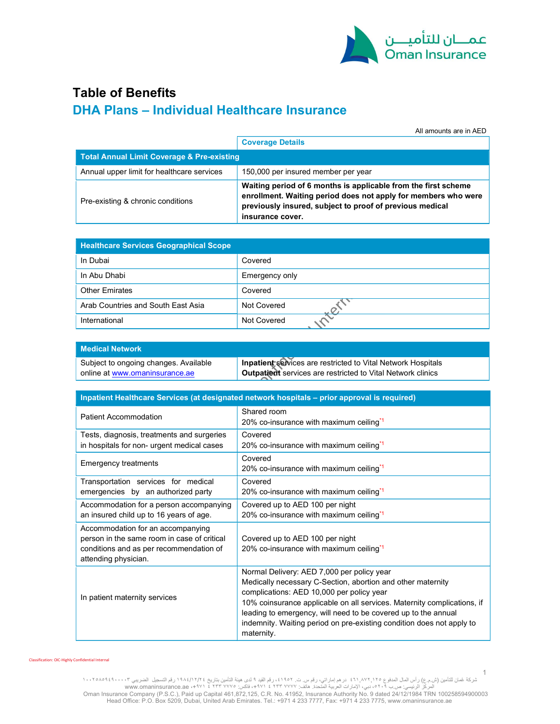

# Table of Benefits DHA Plans – Individual Healthcare Insurance

All amounts are in AED

|                                                       | <b>Coverage Details</b>                                                                                                                                                                                          |  |
|-------------------------------------------------------|------------------------------------------------------------------------------------------------------------------------------------------------------------------------------------------------------------------|--|
| <b>Total Annual Limit Coverage &amp; Pre-existing</b> |                                                                                                                                                                                                                  |  |
| Annual upper limit for healthcare services            | 150,000 per insured member per year                                                                                                                                                                              |  |
| Pre-existing & chronic conditions                     | Waiting period of 6 months is applicable from the first scheme<br>enrollment. Waiting period does not apply for members who were<br>previously insured, subject to proof of previous medical<br>insurance cover. |  |

| <b>Healthcare Services Geographical Scope</b> |                |  |
|-----------------------------------------------|----------------|--|
| In Dubai                                      | Covered        |  |
| In Abu Dhabi                                  | Emergency only |  |
| <b>Other Emirates</b>                         | Covered        |  |
| Arab Countries and South East Asia            | Not Covered    |  |
| International                                 | Not Covered    |  |

| <b>Medical Network</b>                |                                                              |
|---------------------------------------|--------------------------------------------------------------|
| Subject to ongoing changes. Available | Inpatient services are restricted to Vital Network Hospitals |
| online at www.omaninsurance.ae        | Outpatient services are restricted to Vital Network clinics  |

| Inpatient Healthcare Services (at designated network hospitals - prior approval is required)                                                        |                                                                                                                                                                                                                                                                                                                                                                                            |  |  |
|-----------------------------------------------------------------------------------------------------------------------------------------------------|--------------------------------------------------------------------------------------------------------------------------------------------------------------------------------------------------------------------------------------------------------------------------------------------------------------------------------------------------------------------------------------------|--|--|
| Patient Accommodation                                                                                                                               | Shared room<br>20% co-insurance with maximum ceiling <sup>*1</sup>                                                                                                                                                                                                                                                                                                                         |  |  |
| Tests, diagnosis, treatments and surgeries<br>in hospitals for non- urgent medical cases                                                            | Covered<br>20% co-insurance with maximum ceiling <sup>*1</sup>                                                                                                                                                                                                                                                                                                                             |  |  |
| <b>Emergency treatments</b>                                                                                                                         | Covered<br>20% co-insurance with maximum ceiling <sup>*1</sup>                                                                                                                                                                                                                                                                                                                             |  |  |
| Transportation services for medical<br>emergencies by an authorized party                                                                           | Covered<br>20% co-insurance with maximum ceiling <sup>*1</sup>                                                                                                                                                                                                                                                                                                                             |  |  |
| Accommodation for a person accompanying<br>an insured child up to 16 years of age.                                                                  | Covered up to AED 100 per night<br>20% co-insurance with maximum ceiling*1                                                                                                                                                                                                                                                                                                                 |  |  |
| Accommodation for an accompanying<br>person in the same room in case of critical<br>conditions and as per recommendation of<br>attending physician. | Covered up to AED 100 per night<br>20% co-insurance with maximum ceiling <sup>*1</sup>                                                                                                                                                                                                                                                                                                     |  |  |
| In patient maternity services                                                                                                                       | Normal Delivery: AED 7,000 per policy year<br>Medically necessary C-Section, abortion and other maternity<br>complications: AED 10,000 per policy year<br>10% coinsurance applicable on all services. Maternity complications, if<br>leading to emergency, will need to be covered up to the annual<br>indemnity. Waiting period on pre-existing condition does not apply to<br>maternity. |  |  |

Classification: OIC-Highly Confidential Internal

1 شركة غُمان للنامين (ش.م.ع) رأس المال المدفوع ٢٦٠,٨٧٢,١٢٥ . درهم إماراتي، رقم س.ث. ٢١٩٥٢ . ذر قم القيد ٩ لدى مقين التأمين بتاريخ ١٩٨٤/١٢/٢٤ . در هم إماراتي، رقم س.ث. ٢١٩٢٢ . وقم القيد ٩ لدى بقته التأمين بتاريخ ١٩٢٧ . في ال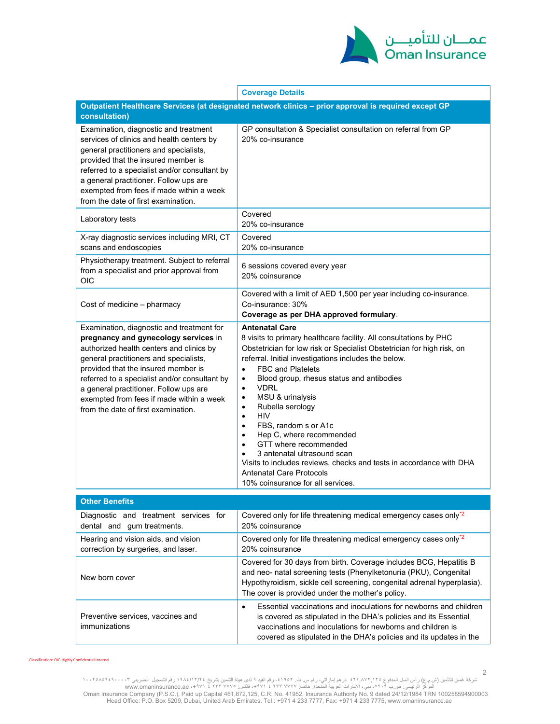

|                                                                                                                                                                                                                                                                                                                                                                                              | <b>Coverage Details</b>                                                                                                                                                                                                                                                                                                                                                                                                                                                                                                                                                                                                                                                                                                                         |  |  |  |
|----------------------------------------------------------------------------------------------------------------------------------------------------------------------------------------------------------------------------------------------------------------------------------------------------------------------------------------------------------------------------------------------|-------------------------------------------------------------------------------------------------------------------------------------------------------------------------------------------------------------------------------------------------------------------------------------------------------------------------------------------------------------------------------------------------------------------------------------------------------------------------------------------------------------------------------------------------------------------------------------------------------------------------------------------------------------------------------------------------------------------------------------------------|--|--|--|
| Outpatient Healthcare Services (at designated network clinics - prior approval is required except GP                                                                                                                                                                                                                                                                                         |                                                                                                                                                                                                                                                                                                                                                                                                                                                                                                                                                                                                                                                                                                                                                 |  |  |  |
| consultation)                                                                                                                                                                                                                                                                                                                                                                                |                                                                                                                                                                                                                                                                                                                                                                                                                                                                                                                                                                                                                                                                                                                                                 |  |  |  |
| Examination, diagnostic and treatment<br>services of clinics and health centers by<br>general practitioners and specialists,<br>provided that the insured member is<br>referred to a specialist and/or consultant by<br>a general practitioner. Follow ups are<br>exempted from fees if made within a week<br>from the date of first examination.                                            | GP consultation & Specialist consultation on referral from GP<br>20% co-insurance                                                                                                                                                                                                                                                                                                                                                                                                                                                                                                                                                                                                                                                               |  |  |  |
| Laboratory tests                                                                                                                                                                                                                                                                                                                                                                             | Covered<br>20% co-insurance                                                                                                                                                                                                                                                                                                                                                                                                                                                                                                                                                                                                                                                                                                                     |  |  |  |
| X-ray diagnostic services including MRI, CT<br>scans and endoscopies                                                                                                                                                                                                                                                                                                                         | Covered<br>20% co-insurance                                                                                                                                                                                                                                                                                                                                                                                                                                                                                                                                                                                                                                                                                                                     |  |  |  |
| Physiotherapy treatment. Subject to referral<br>from a specialist and prior approval from<br>OIC                                                                                                                                                                                                                                                                                             | 6 sessions covered every year<br>20% coinsurance                                                                                                                                                                                                                                                                                                                                                                                                                                                                                                                                                                                                                                                                                                |  |  |  |
| Cost of medicine - pharmacy                                                                                                                                                                                                                                                                                                                                                                  | Covered with a limit of AED 1,500 per year including co-insurance.<br>Co-insurance: 30%<br>Coverage as per DHA approved formulary.                                                                                                                                                                                                                                                                                                                                                                                                                                                                                                                                                                                                              |  |  |  |
| Examination, diagnostic and treatment for<br>pregnancy and gynecology services in<br>authorized health centers and clinics by<br>general practitioners and specialists,<br>provided that the insured member is<br>referred to a specialist and/or consultant by<br>a general practitioner. Follow ups are<br>exempted from fees if made within a week<br>from the date of first examination. | <b>Antenatal Care</b><br>8 visits to primary healthcare facility. All consultations by PHC<br>Obstetrician for low risk or Specialist Obstetrician for high risk, on<br>referral. Initial investigations includes the below.<br><b>FBC and Platelets</b><br>$\bullet$<br>Blood group, rhesus status and antibodies<br>$\bullet$<br><b>VDRL</b><br>٠<br>MSU & urinalysis<br>٠<br>Rubella serology<br>٠<br><b>HIV</b><br>$\bullet$<br>FBS, random s or A1c<br>$\bullet$<br>Hep C, where recommended<br>$\bullet$<br>GTT where recommended<br>$\bullet$<br>3 antenatal ultrasound scan<br>$\bullet$<br>Visits to includes reviews, checks and tests in accordance with DHA<br><b>Antenatal Care Protocols</b><br>10% coinsurance for all services. |  |  |  |
| <b>Other Benefits</b>                                                                                                                                                                                                                                                                                                                                                                        |                                                                                                                                                                                                                                                                                                                                                                                                                                                                                                                                                                                                                                                                                                                                                 |  |  |  |
| Diagnostic and treatment services for<br>dental and gum treatments.                                                                                                                                                                                                                                                                                                                          | Covered only for life threatening medical emergency cases only <sup>*2</sup><br>20% coinsurance                                                                                                                                                                                                                                                                                                                                                                                                                                                                                                                                                                                                                                                 |  |  |  |
| Hearing and vision aids, and vision<br>correction by surgeries, and laser.                                                                                                                                                                                                                                                                                                                   | Covered only for life threatening medical emergency cases only <sup>*2</sup><br>20% coinsurance                                                                                                                                                                                                                                                                                                                                                                                                                                                                                                                                                                                                                                                 |  |  |  |
| New born cover                                                                                                                                                                                                                                                                                                                                                                               | Covered for 30 days from birth. Coverage includes BCG, Hepatitis B<br>and neo- natal screening tests (Phenylketonuria (PKU), Congenital<br>Hypothyroidism, sickle cell screening, congenital adrenal hyperplasia).<br>The cover is provided under the mother's policy.                                                                                                                                                                                                                                                                                                                                                                                                                                                                          |  |  |  |
| Preventive services, vaccines and<br>immunizations                                                                                                                                                                                                                                                                                                                                           | Essential vaccinations and inoculations for newborns and children<br>$\bullet$<br>is covered as stipulated in the DHA's policies and its Essential<br>vaccinations and inoculations for newborns and children is                                                                                                                                                                                                                                                                                                                                                                                                                                                                                                                                |  |  |  |

Classification: OIC-Highly Confidential Internal

شركة غُمان للنامين (ش.م.ع) رأس المال المدفوع ٢٦٠,٨٧٢,١٢٥ . درهم إماراتي، رقم س.ث. ٢١٩٥٢ . ذر قم القيد ٩ لدى مقين التأمين بتاريخ ١٩٨٤/١٢/٢٤ . در هم إماراتي، رقم س.ث. ٢١٩٢٢ . وقم القيد ٩ لدى بقته التأمين بتاريخ ١٩٢٧ . في ال

covered as stipulated in the DHA's policies and its updates in the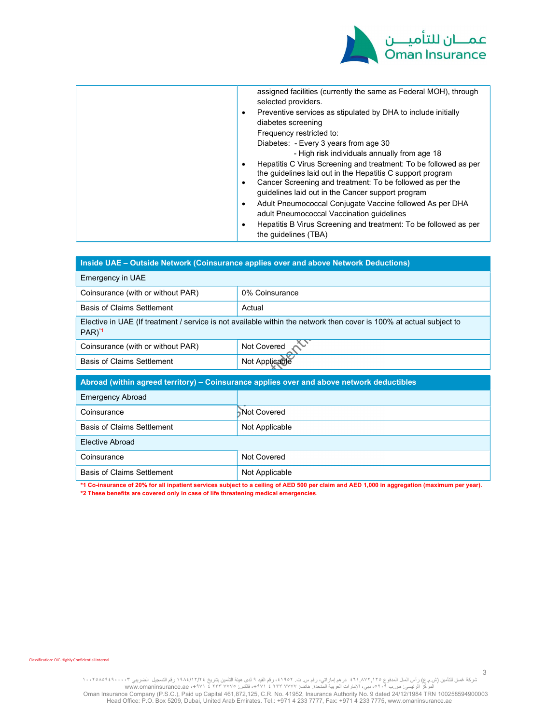

| $\bullet$<br>$\bullet$<br>$\bullet$<br>٠<br>$\bullet$ | assigned facilities (currently the same as Federal MOH), through<br>selected providers.<br>Preventive services as stipulated by DHA to include initially<br>diabetes screening<br>Frequency restricted to:<br>Diabetes: - Every 3 years from age 30<br>- High risk individuals annually from age 18<br>Hepatitis C Virus Screening and treatment: To be followed as per<br>the quidelines laid out in the Hepatitis C support program<br>Cancer Screening and treatment: To be followed as per the<br>guidelines laid out in the Cancer support program<br>Adult Pneumococcal Conjugate Vaccine followed As per DHA<br>adult Pneumococcal Vaccination guidelines<br>Hepatitis B Virus Screening and treatment: To be followed as per<br>the quidelines (TBA) |
|-------------------------------------------------------|--------------------------------------------------------------------------------------------------------------------------------------------------------------------------------------------------------------------------------------------------------------------------------------------------------------------------------------------------------------------------------------------------------------------------------------------------------------------------------------------------------------------------------------------------------------------------------------------------------------------------------------------------------------------------------------------------------------------------------------------------------------|
|-------------------------------------------------------|--------------------------------------------------------------------------------------------------------------------------------------------------------------------------------------------------------------------------------------------------------------------------------------------------------------------------------------------------------------------------------------------------------------------------------------------------------------------------------------------------------------------------------------------------------------------------------------------------------------------------------------------------------------------------------------------------------------------------------------------------------------|

| Inside UAE - Outside Network (Coinsurance applies over and above Network Deductions)                                                       |  |  |
|--------------------------------------------------------------------------------------------------------------------------------------------|--|--|
| Emergency in UAE                                                                                                                           |  |  |
| 0% Coinsurance                                                                                                                             |  |  |
| Actual                                                                                                                                     |  |  |
| Elective in UAE (If treatment / service is not available within the network then cover is 100% at actual subject to<br>$PAR$ <sup>*1</sup> |  |  |
| Not Covered 2                                                                                                                              |  |  |
| Not Applicable                                                                                                                             |  |  |
| Abroad (within agreed territory) – Coinsurance applies over and above network deductibles                                                  |  |  |
|                                                                                                                                            |  |  |
|                                                                                                                                            |  |  |
| Not Covered                                                                                                                                |  |  |
| Not Applicable                                                                                                                             |  |  |
| <b>Elective Abroad</b>                                                                                                                     |  |  |
| Not Covered                                                                                                                                |  |  |
| Not Applicable                                                                                                                             |  |  |
|                                                                                                                                            |  |  |

\*1 Co-insurance of 20% for all inpatient services subject to a ceiling of AED 500 per claim and AED 1,000 in aggregation (maximum per year).

\*2 These benefits are covered only in case of life threatening medical emergencies.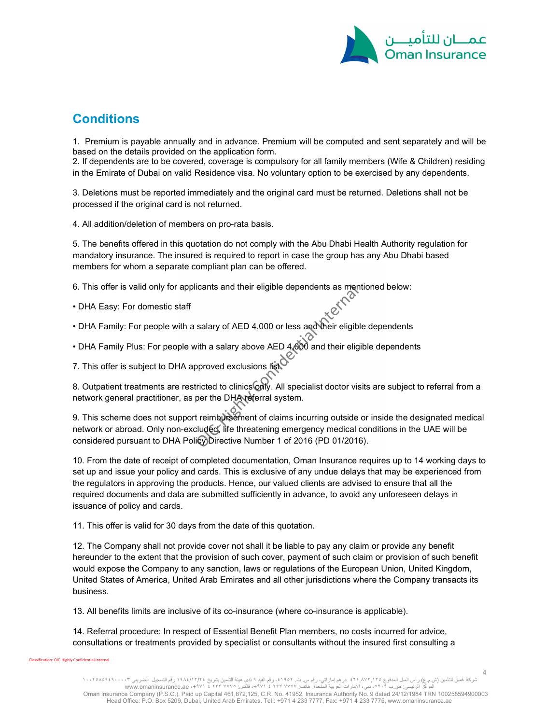

### **Conditions**

1. Premium is payable annually and in advance. Premium will be computed and sent separately and will be based on the details provided on the application form.

2. If dependents are to be covered, coverage is compulsory for all family members (Wife & Children) residing in the Emirate of Dubai on valid Residence visa. No voluntary option to be exercised by any dependents.

3. Deletions must be reported immediately and the original card must be returned. Deletions shall not be processed if the original card is not returned.

4. All addition/deletion of members on pro-rata basis.

5. The benefits offered in this quotation do not comply with the Abu Dhabi Health Authority regulation for mandatory insurance. The insured is required to report in case the group has any Abu Dhabi based members for whom a separate compliant plan can be offered.

6. This offer is valid only for applicants and their eligible dependents as mentioned below:

- DHA Easy: For domestic staff
- DHA Family: For people with a salary of AED 4,000 or less and their eligible dependents
- DHA Family Plus: For people with a salary above AED 4,000 and their eligible dependents

7. This offer is subject to DHA approved exclusions list.

8. Outpatient treatments are restricted to clinics only. All specialist doctor visits are subject to referral from a network general practitioner, as per the DHA referral system.

9. This scheme does not support reimbursement of claims incurring outside or inside the designated medical network or abroad. Only non-excluded, life threatening emergency medical conditions in the UAE will be considered pursuant to DHA Policy Directive Number 1 of 2016 (PD 01/2016).

10. From the date of receipt of completed documentation, Oman Insurance requires up to 14 working days to set up and issue your policy and cards. This is exclusive of any undue delays that may be experienced from the regulators in approving the products. Hence, our valued clients are advised to ensure that all the required documents and data are submitted sufficiently in advance, to avoid any unforeseen delays in issuance of policy and cards.

11. This offer is valid for 30 days from the date of this quotation.

12. The Company shall not provide cover not shall it be liable to pay any claim or provide any benefit hereunder to the extent that the provision of such cover, payment of such claim or provision of such benefit would expose the Company to any sanction, laws or regulations of the European Union, United Kingdom, United States of America, United Arab Emirates and all other jurisdictions where the Company transacts its business.

13. All benefits limits are inclusive of its co-insurance (where co-insurance is applicable).

14. Referral procedure: In respect of Essential Benefit Plan members, no costs incurred for advice, consultations or treatments provided by specialist or consultants without the insured first consulting a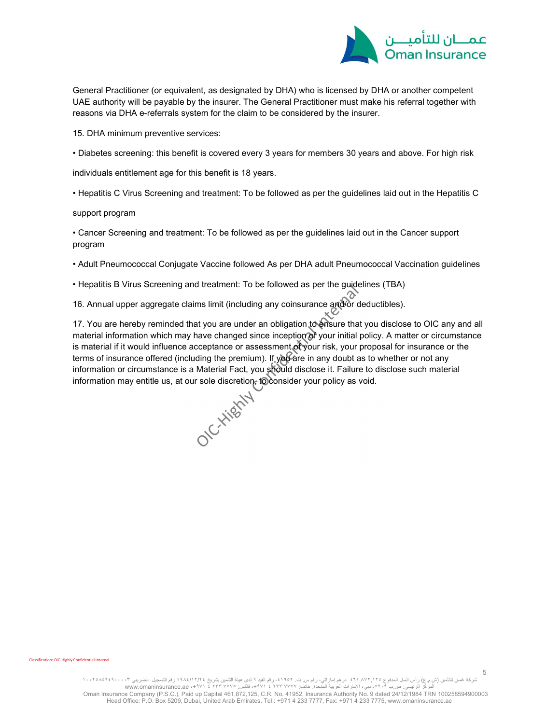

General Practitioner (or equivalent, as designated by DHA) who is licensed by DHA or another competent UAE authority will be payable by the insurer. The General Practitioner must make his referral together with reasons via DHA e-referrals system for the claim to be considered by the insurer.

15. DHA minimum preventive services:

• Diabetes screening: this benefit is covered every 3 years for members 30 years and above. For high risk

individuals entitlement age for this benefit is 18 years.

• Hepatitis C Virus Screening and treatment: To be followed as per the guidelines laid out in the Hepatitis C

support program

• Cancer Screening and treatment: To be followed as per the guidelines laid out in the Cancer support program

• Adult Pneumococcal Conjugate Vaccine followed As per DHA adult Pneumococcal Vaccination guidelines

• Hepatitis B Virus Screening and treatment: To be followed as per the guidelines (TBA)

16. Annual upper aggregate claims limit (including any coinsurance and/or deductibles).

17. You are hereby reminded that you are under an obligation to ensure that you disclose to OIC any and all material information which may have changed since inception of your initial policy. A matter or circumstance is material if it would influence acceptance or assessment of your risk, your proposal for insurance or the terms of insurance offered (including the premium). If you are in any doubt as to whether or not any information or circumstance is a Material Fact, you should disclose it. Failure to disclose such material information may entitle us, at our sole discretion, to consider your policy as void.

Classification: OIC-Highly Confidential Internal

5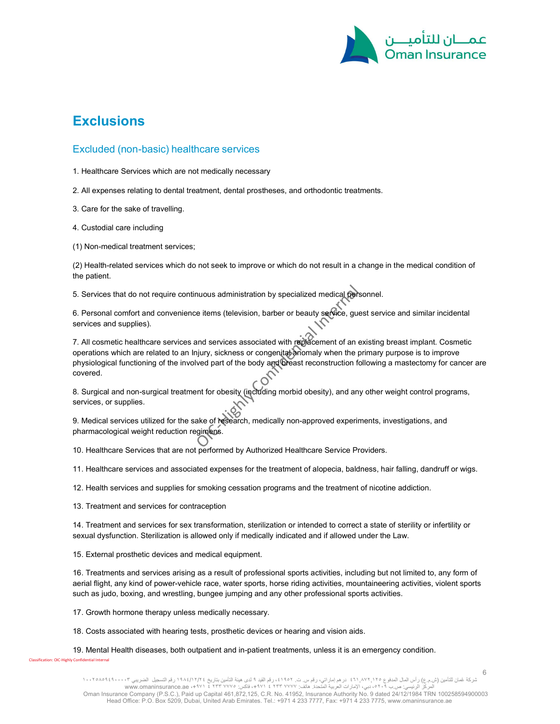

## **Exclusions**

#### Excluded (non-basic) healthcare services

1. Healthcare Services which are not medically necessary

2. All expenses relating to dental treatment, dental prostheses, and orthodontic treatments.

3. Care for the sake of travelling.

4. Custodial care including

(1) Non-medical treatment services;

(2) Health-related services which do not seek to improve or which do not result in a change in the medical condition of the patient.

5. Services that do not require continuous administration by specialized medical personnel.

6. Personal comfort and convenience items (television, barber or beauty service, guest service and similar incidental services and supplies).

7. All cosmetic healthcare services and services associated with replacement of an existing breast implant. Cosmetic operations which are related to an Injury, sickness or congenital anomaly when the primary purpose is to improve physiological functioning of the involved part of the body and breast reconstruction following a mastectomy for cancer are covered.

8. Surgical and non-surgical treatment for obesity (including morbid obesity), and any other weight control programs, services, or supplies.

9. Medical services utilized for the sake of research, medically non-approved experiments, investigations, and pharmacological weight reduction regimens.

10. Healthcare Services that are not performed by Authorized Healthcare Service Providers.

11. Healthcare services and associated expenses for the treatment of alopecia, baldness, hair falling, dandruff or wigs.

12. Health services and supplies for smoking cessation programs and the treatment of nicotine addiction.

13. Treatment and services for contraception

ification: OIC-Highly Confidential Internal

14. Treatment and services for sex transformation, sterilization or intended to correct a state of sterility or infertility or sexual dysfunction. Sterilization is allowed only if medically indicated and if allowed under the Law.

15. External prosthetic devices and medical equipment.

16. Treatments and services arising as a result of professional sports activities, including but not limited to, any form of aerial flight, any kind of power-vehicle race, water sports, horse riding activities, mountaineering activities, violent sports such as judo, boxing, and wrestling, bungee jumping and any other professional sports activities.

17. Growth hormone therapy unless medically necessary.

18. Costs associated with hearing tests, prosthetic devices or hearing and vision aids.

19. Mental Health diseases, both outpatient and in-patient treatments, unless it is an emergency condition.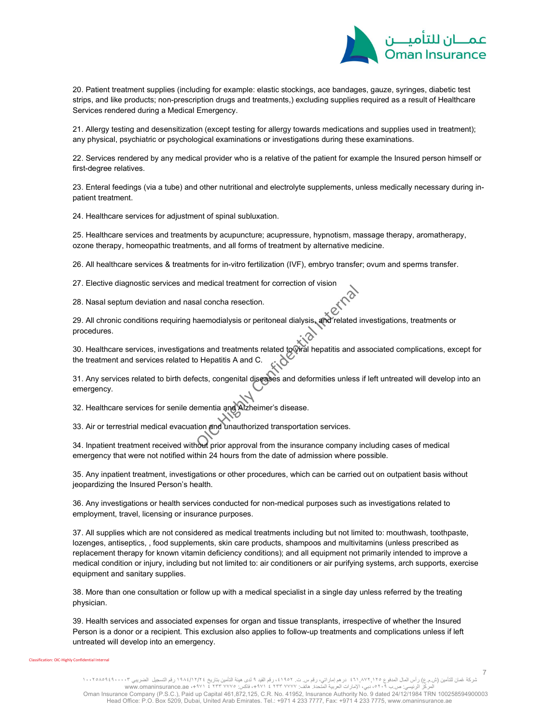

7

20. Patient treatment supplies (including for example: elastic stockings, ace bandages, gauze, syringes, diabetic test strips, and like products; non-prescription drugs and treatments,) excluding supplies required as a result of Healthcare Services rendered during a Medical Emergency.

21. Allergy testing and desensitization (except testing for allergy towards medications and supplies used in treatment); any physical, psychiatric or psychological examinations or investigations during these examinations.

22. Services rendered by any medical provider who is a relative of the patient for example the Insured person himself or first-degree relatives.

23. Enteral feedings (via a tube) and other nutritional and electrolyte supplements, unless medically necessary during inpatient treatment.

24. Healthcare services for adjustment of spinal subluxation.

25. Healthcare services and treatments by acupuncture; acupressure, hypnotism, massage therapy, aromatherapy, ozone therapy, homeopathic treatments, and all forms of treatment by alternative medicine.

26. All healthcare services & treatments for in-vitro fertilization (IVF), embryo transfer; ovum and sperms transfer.

27. Elective diagnostic services and medical treatment for correction of vision

28. Nasal septum deviation and nasal concha resection.

29. All chronic conditions requiring haemodialysis or peritoneal dialysis, and related investigations, treatments or procedures.

30. Healthcare services, investigations and treatments related to viral hepatitis and associated complications, except for the treatment and services related to Hepatitis A and C.

31. Any services related to birth defects, congenital diseases and deformities unless if left untreated will develop into an emergency.

32. Healthcare services for senile dementia and Alzheimer's disease.

33. Air or terrestrial medical evacuation and unauthorized transportation services.

34. Inpatient treatment received without prior approval from the insurance company including cases of medical emergency that were not notified within 24 hours from the date of admission where possible.

35. Any inpatient treatment, investigations or other procedures, which can be carried out on outpatient basis without jeopardizing the Insured Person's health.

36. Any investigations or health services conducted for non-medical purposes such as investigations related to employment, travel, licensing or insurance purposes.

37. All supplies which are not considered as medical treatments including but not limited to: mouthwash, toothpaste, lozenges, antiseptics, , food supplements, skin care products, shampoos and multivitamins (unless prescribed as replacement therapy for known vitamin deficiency conditions); and all equipment not primarily intended to improve a medical condition or injury, including but not limited to: air conditioners or air purifying systems, arch supports, exercise equipment and sanitary supplies.

38. More than one consultation or follow up with a medical specialist in a single day unless referred by the treating physician.

39. Health services and associated expenses for organ and tissue transplants, irrespective of whether the Insured Person is a donor or a recipient. This exclusion also applies to follow-up treatments and complications unless if left untreated will develop into an emergency.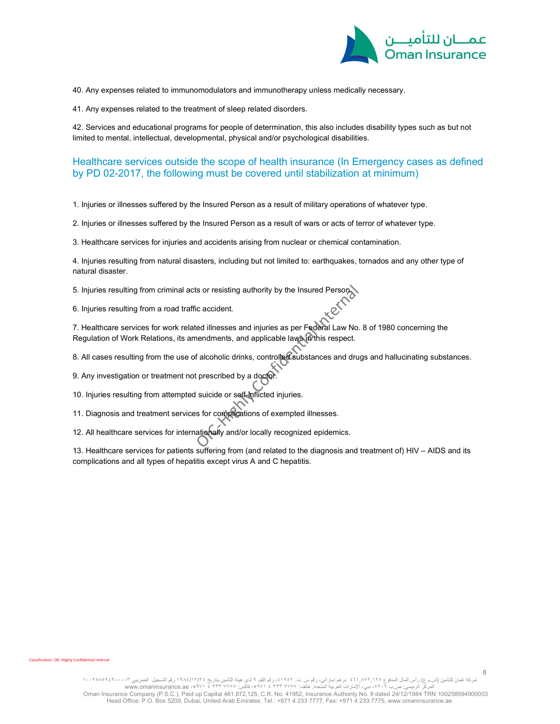

40. Any expenses related to immunomodulators and immunotherapy unless medically necessary.

41. Any expenses related to the treatment of sleep related disorders.

42. Services and educational programs for people of determination, this also includes disability types such as but not limited to mental, intellectual, developmental, physical and/or psychological disabilities.

### Healthcare services outside the scope of health insurance (In Emergency cases as defined by PD 02-2017, the following must be covered until stabilization at minimum)

1. Injuries or illnesses suffered by the Insured Person as a result of military operations of whatever type.

2. Injuries or illnesses suffered by the Insured Person as a result of wars or acts of terror of whatever type.

3. Healthcare services for injuries and accidents arising from nuclear or chemical contamination.

4. Injuries resulting from natural disasters, including but not limited to: earthquakes, tornados and any other type of natural disaster.

5. Injuries resulting from criminal acts or resisting authority by the Insured Person.

6. Injuries resulting from a road traffic accident.

7. Healthcare services for work related illnesses and injuries as per Federal Law No. 8 of 1980 concerning the Regulation of Work Relations, its amendments, and applicable laws in this respect.

8. All cases resulting from the use of alcoholic drinks, controlled substances and drugs and hallucinating substances.

9. Any investigation or treatment not prescribed by a doctor.

10. Injuries resulting from attempted suicide or self-inflicted injuries.

11. Diagnosis and treatment services for complications of exempted illnesses.

12. All healthcare services for internationally and/or locally recognized epidemics.

13. Healthcare services for patients suffering from (and related to the diagnosis and treatment of) HIV – AIDS and its complications and all types of hepatitis except virus A and C hepatitis.